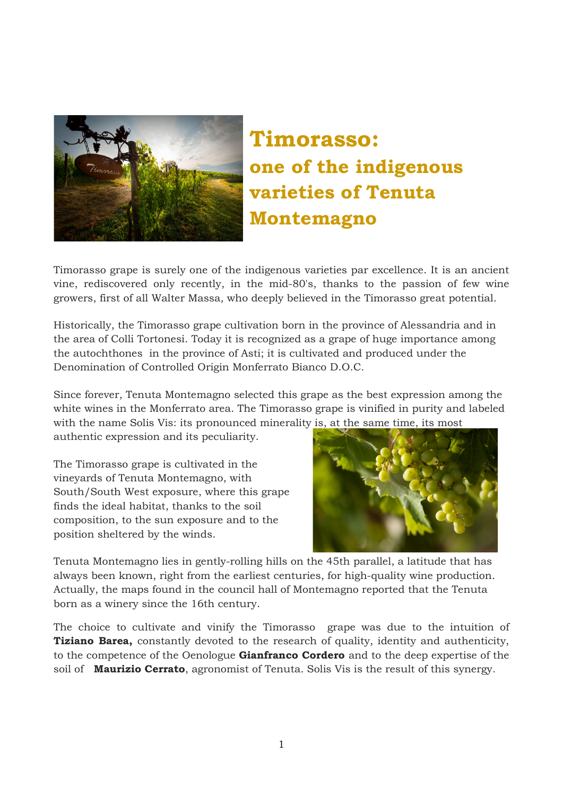

## Timorasso: one of the indigenous varieties of Tenuta Montemagno

Timorasso grape is surely one of the indigenous varieties par excellence. It is an ancient vine, rediscovered only recently, in the mid-80's, thanks to the passion of few wine growers, first of all Walter Massa, who deeply believed in the Timorasso great potential.

Historically, the Timorasso grape cultivation born in the province of Alessandria and in the area of Colli Tortonesi. Today it is recognized as a grape of huge importance among the autochthones in the province of Asti; it is cultivated and produced under the Denomination of Controlled Origin Monferrato Bianco D.O.C.

Since forever, Tenuta Montemagno selected this grape as the best expression among the white wines in the Monferrato area. The Timorasso grape is vinified in purity and labeled with the name Solis Vis: its pronounced minerality is, at the same time, its most

authentic expression and its peculiarity.

The Timorasso grape is cultivated in the vineyards of Tenuta Montemagno, with South/South West exposure, where this grape finds the ideal habitat, thanks to the soil composition, to the sun exposure and to the position sheltered by the winds.



Tenuta Montemagno lies in gently-rolling hills on the 45th parallel, a latitude that has always been known, right from the earliest centuries, for high-quality wine production. Actually, the maps found in the council hall of Montemagno reported that the Tenuta born as a winery since the 16th century.

The choice to cultivate and vinify the Timorasso grape was due to the intuition of **Tiziano Barea,** constantly devoted to the research of quality, identity and authenticity, to the competence of the Oenologue **Gianfranco Cordero** and to the deep expertise of the soil of Maurizio Cerrato, agronomist of Tenuta. Solis Vis is the result of this synergy.